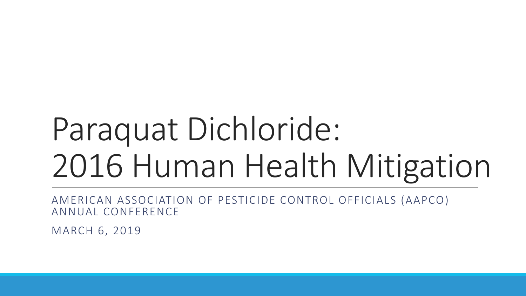# Paraquat Dichloride: 2016 Human Health Mitigation

AMERICAN ASSOCIATION OF PESTICIDE CONTROL OFFICIALS (AAPCO) ANNUAL CONFERENCE

MARCH 6, 2019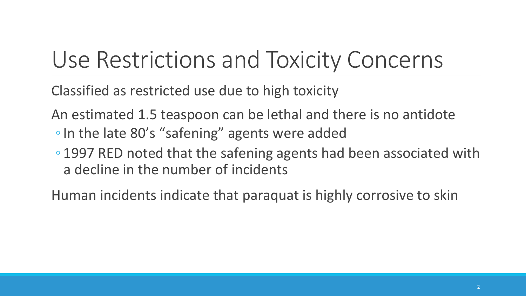# Use Restrictions and Toxicity Concerns

Classified as restricted use due to high toxicity

An estimated 1.5 teaspoon can be lethal and there is no antidote

- In the late 80's "safening" agents were added
- 1997 RED noted that the safening agents had been associated with a decline in the number of incidents

Human incidents indicate that paraquat is highly corrosive to skin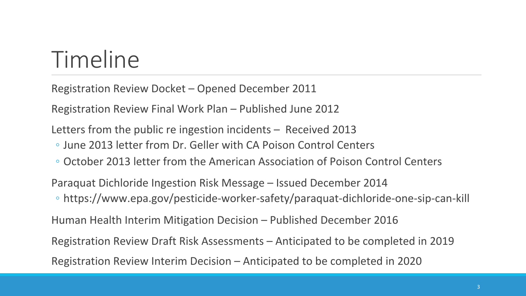## Timeline

Registration Review Docket - Opened December 2011

Registration Review Final Work Plan – Published June 2012

Letters from the public re ingestion incidents  $-$  Received 2013

- June 2013 letter from Dr. Geller with CA Poison Control Centers
- October 2013 letter from the American Association of Poison Control Centers

Paraquat Dichloride Ingestion Risk Message – Issued December 2014

◦ https://www.epa.gov/pesticide-worker-safety/paraquat-dichloride-one-sip-can-kill 

Human Health Interim Mitigation Decision – Published December 2016

Registration Review Draft Risk Assessments – Anticipated to be completed in 2019

Registration Review Interim Decision – Anticipated to be completed in 2020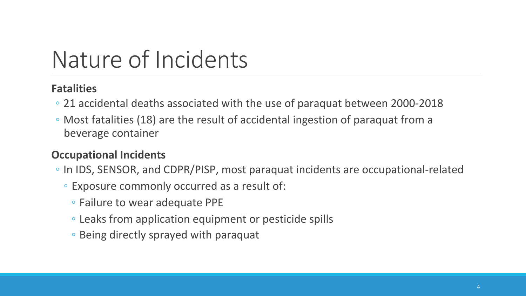# Nature of Incidents

### **Fatalities**

- 21 accidental deaths associated with the use of paraquat between 2000-2018
- Most fatalities (18) are the result of accidental ingestion of paraquat from a beverage container

### **Occupational Incidents**

- In IDS, SENSOR, and CDPR/PISP, most paraquat incidents are occupational-related
	- Exposure commonly occurred as a result of:
		- Failure to wear adequate PPE
		- Leaks from application equipment or pesticide spills
		- Being directly sprayed with paraquat